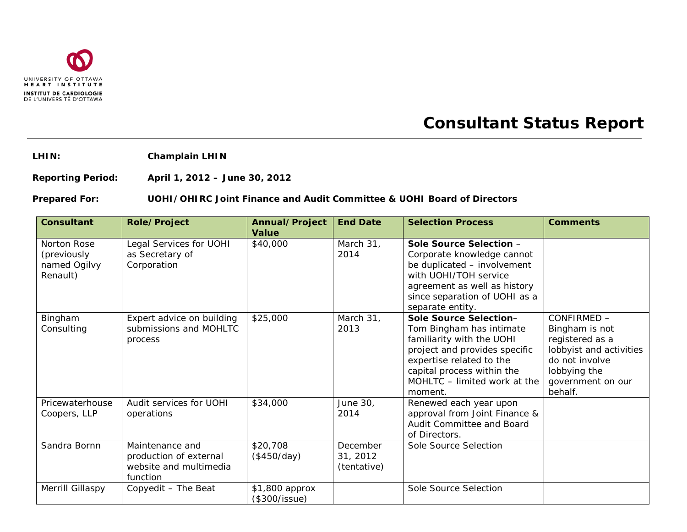

## **Consultant Status Report**

**LHIN: Champlain LHIN**

**Reporting Period: April 1, 2012 – June 30, 2012**

## **Prepared For: UOHI/OHIRC Joint Finance and Audit Committee & UOHI Board of Directors**

| <b>Consultant</b>                                      | <b>Role/Project</b>                                                             | Annual/Project<br><b>Value</b>  | <b>End Date</b>                     | <b>Selection Process</b>                                                                                                                                                                                              | <b>Comments</b>                                                                                                                               |
|--------------------------------------------------------|---------------------------------------------------------------------------------|---------------------------------|-------------------------------------|-----------------------------------------------------------------------------------------------------------------------------------------------------------------------------------------------------------------------|-----------------------------------------------------------------------------------------------------------------------------------------------|
| Norton Rose<br>(previously<br>named Ogilvy<br>Renault) | Legal Services for UOHI<br>as Secretary of<br>Corporation                       | \$40,000                        | March 31,<br>2014                   | Sole Source Selection -<br>Corporate knowledge cannot<br>be duplicated - involvement<br>with UOHI/TOH service<br>agreement as well as history<br>since separation of UOHI as a<br>separate entity.                    |                                                                                                                                               |
| Bingham<br>Consulting                                  | Expert advice on building<br>submissions and MOHLTC<br>process                  | \$25,000                        | March 31,<br>2013                   | Sole Source Selection-<br>Tom Bingham has intimate<br>familiarity with the UOHI<br>project and provides specific<br>expertise related to the<br>capital process within the<br>MOHLTC - limited work at the<br>moment. | CONFIRMED -<br>Bingham is not<br>registered as a<br>lobbyist and activities<br>do not involve<br>lobbying the<br>government on our<br>behalf. |
| Pricewaterhouse<br>Coopers, LLP                        | Audit services for UOHI<br>operations                                           | \$34,000                        | June 30,<br>2014                    | Renewed each year upon<br>approval from Joint Finance &<br>Audit Committee and Board<br>of Directors.                                                                                                                 |                                                                                                                                               |
| Sandra Bornn                                           | Maintenance and<br>production of external<br>website and multimedia<br>function | \$20,708<br>(\$450/day)         | December<br>31, 2012<br>(tentative) | Sole Source Selection                                                                                                                                                                                                 |                                                                                                                                               |
| Merrill Gillaspy                                       | Copyedit - The Beat                                                             | \$1,800 approx<br>(\$300/issue) |                                     | Sole Source Selection                                                                                                                                                                                                 |                                                                                                                                               |